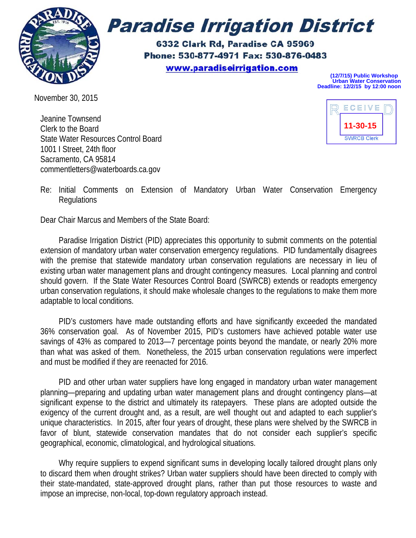

# **Paradise Irrigation District**

6332 Clark Rd, Paradise CA 95969 Phone: 530-877-4971 Fax: 530-876-0483 www.paradiseirrigation.com

**(12/7/15) Public Workshop Urban Water Conservation Deadline: 12/2/15 by 12:00 noon**

November 30 , 2015

Jeanine Townsend Clerk to the Board State Water Resources Control Board 1001 | Street, 24th floor Sacramento, CA 95814 commentletters@waterboards.ca.gov



Re: Initial Comments on Extension of Mandatory Urban Water Conservation Emergency **Regulations** 

Dear Chair Marcus and Members of the State Board:

Paradise Irrigation District (PID) appreciates this opportunity to submit comments on the potential extension of mandatory urban water conservation emergency regulations. PID fundamentally disagrees with the premise that statewide mandatory urban conservation regulations are necessary in lieu of existing urban water management plans and drought contingency measures. Local planning and control should govern. If the State Water Resources Control Board (SWRCB) extends or readopts emergency urban conservation regulations, it should make wholesale changes to the regulations to make them more adaptable to local conditions.

PID's customers have made outstanding efforts and have significantly exceeded the mandated 36% conservation goal. As of November 2015, PID's customers have achieved potable water use savings of 43% as compared to 2013-7 percentage points beyond the mandate, or nearly 20% more than what was asked of them. Nonetheless, the 2015 urban conservation regulations were imperfect and must be modified if they are reenacted for 2016.

PID and other urban water suppliers have long engaged in mandatory urban water management planning—preparing and updating urban water management plans and drought contingency plans—at significant expense to the district and ultimately its ratepayers. These plans are adopted outside the exigency of the current drought and, as a result, are well thought out and adapted to each supplier's unique characteristics. In 2015, after four years of drought, these plans were shelved by the SWRCB in favor of blunt, statewide conservation mandates that do not consider each supplier's specific geographical, economic, climatological, and hydrological situations.

Why require suppliers to expend significant sums in developing locally tailored drought plans only to discard them when drought strikes? Urban water suppliers should have been directed to comply with their state-mandated, state-approved drought plans, rather than put those resources to waste and impose an imprecise, non-local, top-down regulatory approach instead.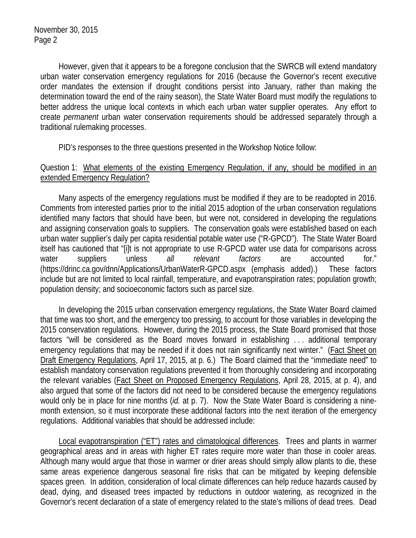However, given that it appears to be a foregone conclusion that the SWRCB will extend mandatory urban water conservation emergency regulations for 2016 (because the Governor's recent executive order mandates the extension if drought conditions persist into January, rather than making the determination toward the end of the rainy season), the State Water Board must modify the regulations to better address the unique local contexts in which each urban water supplier operates. Any effort to create *permanent* urban water conservation requirements should be addressed separately through a traditional rulemaking processes.

PID's responses to the three questions presented in the Workshop Notice follow:

## Question 1: What elements of the existing Emergency Regulation, if any, should be modified in an extended Emergency Regulation?

 Many aspects of the emergency regulations must be modified if they are to be readopted in 2016. Comments from interested parties prior to the initial 2015 adoption of the urban conservation regulations identified many factors that should have been, but were not, considered in developing the regulations and assigning conservation goals to suppliers. The conservation goals were established based on each urban water supplier's daily per capita residential potable water use ("R-GPCD"). The State Water Board itself has cautioned that "[i]t is not appropriate to use R-GPCD water use data for comparisons across water suppliers unless *all relevant factors* are accounted for." (https://drinc.ca.gov/dnn/Applications/UrbanWaterR-GPCD.aspx (emphasis added).) These factors include but are not limited to local rainfall, temperature, and evapotranspiration rates; population growth; population density; and socioeconomic factors such as parcel size.

 In developing the 2015 urban conservation emergency regulations, the State Water Board claimed that time was too short, and the emergency too pressing, to account for those variables in developing the 2015 conservation regulations. However, during the 2015 process, the State Board promised that those factors "will be considered as the Board moves forward in establishing . . . additional temporary emergency regulations that may be needed if it does not rain significantly next winter." (Fact Sheet on Draft Emergency Regulations, April 17, 2015, at p. 6.) The Board claimed that the "immediate need" to establish mandatory conservation regulations prevented it from thoroughly considering and incorporating the relevant variables (Fact Sheet on Proposed Emergency Regulations, April 28, 2015, at p. 4), and also argued that some of the factors did not need to be considered because the emergency regulations would only be in place for nine months (*id.* at p. 7). Now the State Water Board is considering a ninemonth extension, so it must incorporate these additional factors into the next iteration of the emergency regulations. Additional variables that should be addressed include:

 Local evapotranspiration ("ET") rates and climatological differences. Trees and plants in warmer geographical areas and in areas with higher ET rates require more water than those in cooler areas. Although many would argue that those in warmer or drier areas should simply allow plants to die, these same areas experience dangerous seasonal fire risks that can be mitigated by keeping defensible spaces green. In addition, consideration of local climate differences can help reduce hazards caused by dead, dying, and diseased trees impacted by reductions in outdoor watering, as recognized in the Governor's recent declaration of a state of emergency related to the state's millions of dead trees. Dead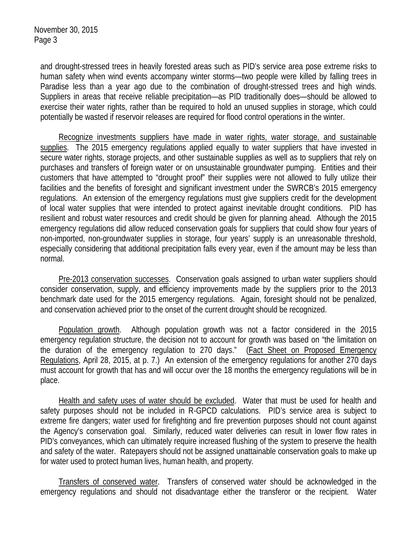and drought-stressed trees in heavily forested areas such as PID's service area pose extreme risks to human safety when wind events accompany winter storms—two people were killed by falling trees in Paradise less than a year ago due to the combination of drought-stressed trees and high winds. Suppliers in areas that receive reliable precipitation—as PID traditionally does—should be allowed to exercise their water rights, rather than be required to hold an unused supplies in storage, which could potentially be wasted if reservoir releases are required for flood control operations in the winter.

 Recognize investments suppliers have made in water rights, water storage, and sustainable supplies. The 2015 emergency regulations applied equally to water suppliers that have invested in secure water rights, storage projects, and other sustainable supplies as well as to suppliers that rely on purchases and transfers of foreign water or on unsustainable groundwater pumping. Entities and their customers that have attempted to "drought proof" their supplies were not allowed to fully utilize their facilities and the benefits of foresight and significant investment under the SWRCB's 2015 emergency regulations. An extension of the emergency regulations must give suppliers credit for the development of local water supplies that were intended to protect against inevitable drought conditions. PID has resilient and robust water resources and credit should be given for planning ahead. Although the 2015 emergency regulations did allow reduced conservation goals for suppliers that could show four years of non-imported, non-groundwater supplies in storage, four years' supply is an unreasonable threshold, especially considering that additional precipitation falls every year, even if the amount may be less than normal.

 Pre-2013 conservation successes. Conservation goals assigned to urban water suppliers should consider conservation, supply, and efficiency improvements made by the suppliers prior to the 2013 benchmark date used for the 2015 emergency regulations. Again, foresight should not be penalized, and conservation achieved prior to the onset of the current drought should be recognized.

 Population growth. Although population growth was not a factor considered in the 2015 emergency regulation structure, the decision not to account for growth was based on "the limitation on the duration of the emergency regulation to 270 days." (Fact Sheet on Proposed Emergency Regulations, April 28, 2015, at p. 7.) An extension of the emergency regulations for another 270 days must account for growth that has and will occur over the 18 months the emergency regulations will be in place.

 Health and safety uses of water should be excluded. Water that must be used for health and safety purposes should not be included in R-GPCD calculations. PID's service area is subject to extreme fire dangers; water used for firefighting and fire prevention purposes should not count against the Agency's conservation goal. Similarly, reduced water deliveries can result in lower flow rates in PID's conveyances, which can ultimately require increased flushing of the system to preserve the health and safety of the water. Ratepayers should not be assigned unattainable conservation goals to make up for water used to protect human lives, human health, and property.

 Transfers of conserved water. Transfers of conserved water should be acknowledged in the emergency regulations and should not disadvantage either the transferor or the recipient. Water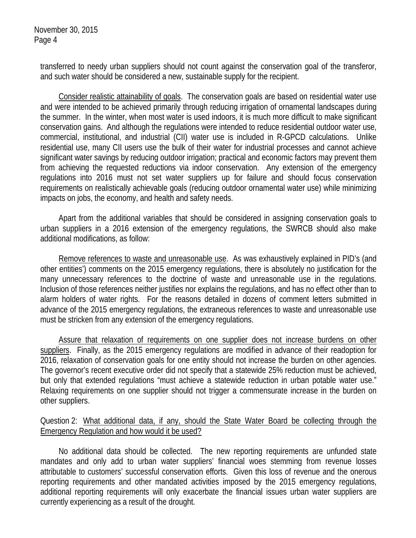transferred to needy urban suppliers should not count against the conservation goal of the transferor, and such water should be considered a new, sustainable supply for the recipient.

 Consider realistic attainability of goals. The conservation goals are based on residential water use and were intended to be achieved primarily through reducing irrigation of ornamental landscapes during the summer. In the winter, when most water is used indoors, it is much more difficult to make significant conservation gains. And although the regulations were intended to reduce residential outdoor water use, commercial, institutional, and industrial (CII) water use is included in R-GPCD calculations. Unlike residential use, many CII users use the bulk of their water for industrial processes and cannot achieve significant water savings by reducing outdoor irrigation; practical and economic factors may prevent them from achieving the requested reductions via indoor conservation. Any extension of the emergency regulations into 2016 must not set water suppliers up for failure and should focus conservation requirements on realistically achievable goals (reducing outdoor ornamental water use) while minimizing impacts on jobs, the economy, and health and safety needs.

 Apart from the additional variables that should be considered in assigning conservation goals to urban suppliers in a 2016 extension of the emergency regulations, the SWRCB should also make additional modifications, as follow:

 Remove references to waste and unreasonable use. As was exhaustively explained in PID's (and other entities') comments on the 2015 emergency regulations, there is absolutely no justification for the many unnecessary references to the doctrine of waste and unreasonable use in the regulations. Inclusion of those references neither justifies nor explains the regulations, and has no effect other than to alarm holders of water rights. For the reasons detailed in dozens of comment letters submitted in advance of the 2015 emergency regulations, the extraneous references to waste and unreasonable use must be stricken from any extension of the emergency regulations.

Assure that relaxation of requirements on one supplier does not increase burdens on other suppliers. Finally, as the 2015 emergency regulations are modified in advance of their readoption for 2016, relaxation of conservation goals for one entity should not increase the burden on other agencies. The governor's recent executive order did not specify that a statewide 25% reduction must be achieved, but only that extended regulations "must achieve a statewide reduction in urban potable water use." Relaxing requirements on one supplier should not trigger a commensurate increase in the burden on other suppliers.

## Question 2: What additional data, if any, should the State Water Board be collecting through the Emergency Regulation and how would it be used?

 No additional data should be collected. The new reporting requirements are unfunded state mandates and only add to urban water suppliers' financial woes stemming from revenue losses attributable to customers' successful conservation efforts. Given this loss of revenue and the onerous reporting requirements and other mandated activities imposed by the 2015 emergency regulations, additional reporting requirements will only exacerbate the financial issues urban water suppliers are currently experiencing as a result of the drought.